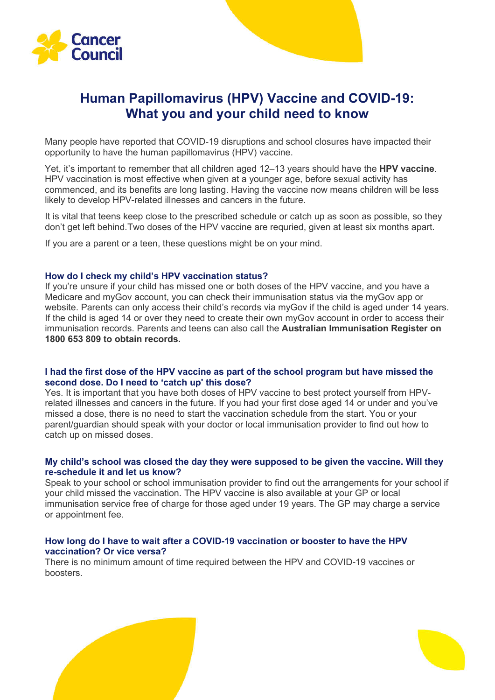

# **Human Papillomavirus (HPV) Vaccine and COVID-19: What you and your child need to know**

Many people have reported that COVID-19 disruptions and school closures have impacted their opportunity to have the human papillomavirus (HPV) vaccine.

Yet, it's important to remember that all children aged 12–13 years should have the **HPV vaccine**. HPV vaccination is most effective when given at a younger age, before sexual activity has commenced, and its benefits are long lasting. Having the vaccine now means children will be less likely to develop HPV-related illnesses and cancers in the future.

It is vital that teens keep close to the prescribed schedule or catch up as soon as possible, so they don't get left behind.Two doses of the HPV vaccine are requried, given at least six months apart.

If you are a parent or a teen, these questions might be on your mind.

## **How do I check my child's HPV vaccination status?**

If you're unsure if your child has missed one or both doses of the HPV vaccine, and you have a Medicare and myGov account, you can check their immunisation status via the myGov app or website. Parents can only access their child's records via myGov if the child is aged under 14 years. If the child is aged 14 or over they need to create their own myGov account in order to access their immunisation records. Parents and teens can also call the **Australian Immunisation Register on 1800 653 809 to obtain records.**

## **I had the first dose of the HPV vaccine as part of the school program but have missed the second dose. Do I need to 'catch up' this dose?**

Yes. It is important that you have both doses of HPV vaccine to best protect yourself from HPVrelated illnesses and cancers in the future. If you had your first dose aged 14 or under and you've missed a dose, there is no need to start the vaccination schedule from the start. You or your parent/guardian should speak with your doctor or local immunisation provider to find out how to catch up on missed doses.

## **My child's school was closed the day they were supposed to be given the vaccine. Will they re-schedule it and let us know?**

Speak to your school or school immunisation provider to find out the arrangements for your school if your child missed the vaccination. The HPV vaccine is also available at your GP or local immunisation service free of charge for those aged under 19 years. The GP may charge a service or appointment fee.

## **How long do I have to wait after a COVID-19 vaccination or booster to have the HPV vaccination? Or vice versa?**

There is no minimum amount of time required between the HPV and COVID-19 vaccines or boosters.